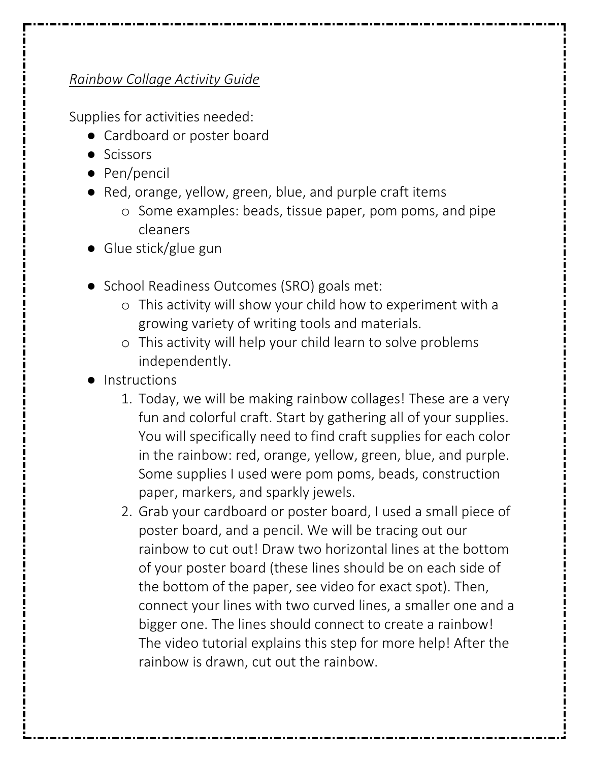## *Rainbow Collage Activity Guide*

Supplies for activities needed:

- Cardboard or poster board
- Scissors
- Pen/pencil
- Red, orange, yellow, green, blue, and purple craft items
	- o Some examples: beads, tissue paper, pom poms, and pipe cleaners
- Glue stick/glue gun
- School Readiness Outcomes (SRO) goals met:
	- o This activity will show your child how to experiment with a growing variety of writing tools and materials.
	- o This activity will help your child learn to solve problems independently.
- **Instructions** 
	- 1. Today, we will be making rainbow collages! These are a very fun and colorful craft. Start by gathering all of your supplies. You will specifically need to find craft supplies for each color in the rainbow: red, orange, yellow, green, blue, and purple. Some supplies I used were pom poms, beads, construction paper, markers, and sparkly jewels.
	- 2. Grab your cardboard or poster board, I used a small piece of poster board, and a pencil. We will be tracing out our rainbow to cut out! Draw two horizontal lines at the bottom of your poster board (these lines should be on each side of the bottom of the paper, see video for exact spot). Then, connect your lines with two curved lines, a smaller one and a bigger one. The lines should connect to create a rainbow! The video tutorial explains this step for more help! After the rainbow is drawn, cut out the rainbow.